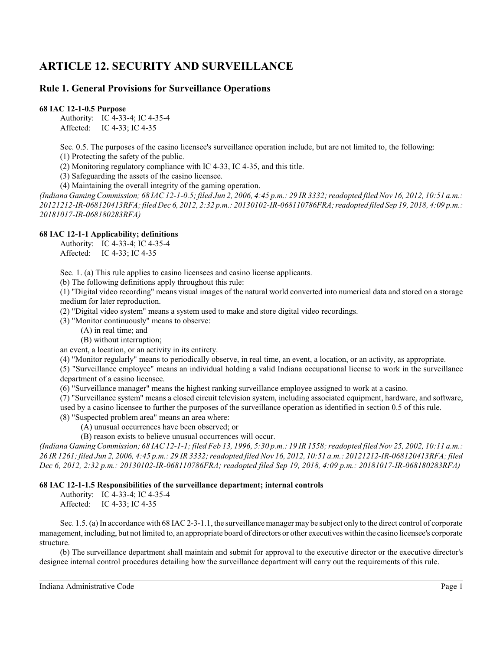# **ARTICLE 12. SECURITY AND SURVEILLANCE**

# **Rule 1. General Provisions for Surveillance Operations**

**68 IAC 12-1-0.5 Purpose**

Authority: IC 4-33-4; IC 4-35-4 Affected: IC 4-33; IC 4-35

Sec. 0.5. The purposes of the casino licensee's surveillance operation include, but are not limited to, the following: (1) Protecting the safety of the public.

(2) Monitoring regulatory compliance with IC 4-33, IC 4-35, and this title.

(3) Safeguarding the assets of the casino licensee.

(4) Maintaining the overall integrity of the gaming operation.

*(Indiana Gaming Commission; 68 IAC 12-1-0.5; filed Jun 2, 2006, 4:45 p.m.: 29 IR 3332; readopted filed Nov 16, 2012, 10:51 a.m.: 20121212-IR-068120413RFA; filed Dec 6, 2012, 2:32 p.m.: 20130102-IR-068110786FRA;readopted filed Sep 19, 2018, 4:09 p.m.: 20181017-IR-068180283RFA)*

## **68 IAC 12-1-1 Applicability; definitions**

Authority: IC 4-33-4; IC 4-35-4 Affected: IC 4-33; IC 4-35

Sec. 1. (a) This rule applies to casino licensees and casino license applicants.

(b) The following definitions apply throughout this rule:

(1) "Digital video recording" means visual images of the natural world converted into numerical data and stored on a storage medium for later reproduction.

(2) "Digital video system" means a system used to make and store digital video recordings.

(3) "Monitor continuously" means to observe:

(A) in real time; and

(B) without interruption;

an event, a location, or an activity in its entirety.

(4) "Monitor regularly" means to periodically observe, in real time, an event, a location, or an activity, as appropriate.

(5) "Surveillance employee" means an individual holding a valid Indiana occupational license to work in the surveillance department of a casino licensee.

(6) "Surveillance manager" means the highest ranking surveillance employee assigned to work at a casino.

(7) "Surveillance system" means a closed circuit television system, including associated equipment, hardware, and software, used by a casino licensee to further the purposes of the surveillance operation as identified in section 0.5 of this rule.

(8) "Suspected problem area" means an area where:

(A) unusual occurrences have been observed; or

(B) reason exists to believe unusual occurrences will occur.

*(Indiana Gaming Commission; 68 IAC 12-1-1; filed Feb 13, 1996, 5:30 p.m.: 19 IR 1558; readopted filed Nov 25, 2002, 10:11 a.m.: 26 IR 1261; filed Jun 2, 2006, 4:45 p.m.: 29 IR 3332; readopted filed Nov 16, 2012, 10:51 a.m.: 20121212-IR-068120413RFA; filed Dec 6, 2012, 2:32 p.m.: 20130102-IR-068110786FRA; readopted filed Sep 19, 2018, 4:09 p.m.: 20181017-IR-068180283RFA)*

## **68 IAC 12-1-1.5 Responsibilities of the surveillance department; internal controls**

Authority: IC 4-33-4; IC 4-35-4 Affected: IC 4-33; IC 4-35

Sec. 1.5. (a) In accordance with 68 IAC2-3-1.1, the surveillance manager may be subject only to the direct control of corporate management, including, but not limited to, an appropriate board of directors or other executives within the casino licensee's corporate structure.

(b) The surveillance department shall maintain and submit for approval to the executive director or the executive director's designee internal control procedures detailing how the surveillance department will carry out the requirements of this rule.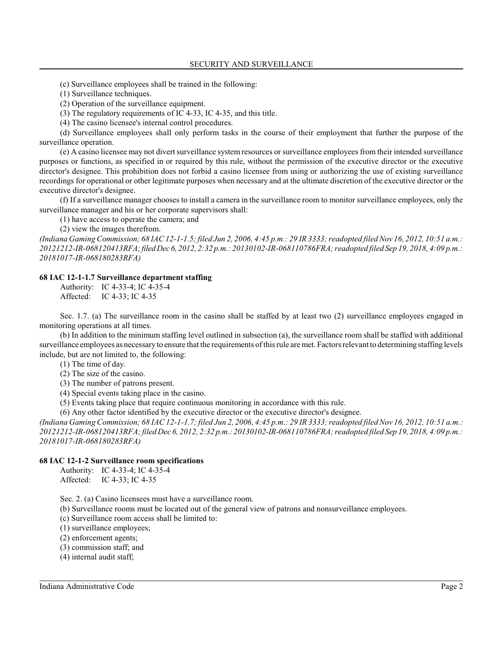(c) Surveillance employees shall be trained in the following:

(1) Surveillance techniques.

(2) Operation of the surveillance equipment.

(3) The regulatory requirements of IC 4-33, IC 4-35, and this title.

(4) The casino licensee's internal control procedures.

(d) Surveillance employees shall only perform tasks in the course of their employment that further the purpose of the surveillance operation.

(e) A casino licensee may not divert surveillance system resources or surveillance employees from their intended surveillance purposes or functions, as specified in or required by this rule, without the permission of the executive director or the executive director's designee. This prohibition does not forbid a casino licensee from using or authorizing the use of existing surveillance recordings for operational or other legitimate purposes when necessary and at the ultimate discretion of the executive director or the executive director's designee.

(f) If a surveillance manager chooses to install a camera in the surveillance room to monitor surveillance employees, only the surveillance manager and his or her corporate supervisors shall:

(1) have access to operate the camera; and

(2) view the images therefrom.

*(Indiana Gaming Commission; 68 IAC 12-1-1.5; filed Jun 2, 2006, 4:45 p.m.: 29 IR 3333; readopted filed Nov 16, 2012, 10:51 a.m.: 20121212-IR-068120413RFA;filed Dec 6, 2012, 2:32 p.m.: 20130102-IR-068110786FRA; readopted filed Sep 19, 2018, 4:09 p.m.: 20181017-IR-068180283RFA)*

#### **68 IAC 12-1-1.7 Surveillance department staffing**

Authority: IC 4-33-4; IC 4-35-4 Affected: IC 4-33; IC 4-35

Sec. 1.7. (a) The surveillance room in the casino shall be staffed by at least two (2) surveillance employees engaged in monitoring operations at all times.

(b) In addition to the minimum staffing level outlined in subsection (a), the surveillance room shall be staffed with additional surveillance employees as necessary to ensure that the requirements of thisrule are met. Factors relevant to determining staffing levels include, but are not limited to, the following:

(1) The time of day.

- (2) The size of the casino.
- (3) The number of patrons present.
- (4) Special events taking place in the casino.
- (5) Events taking place that require continuous monitoring in accordance with this rule.

(6) Any other factor identified by the executive director or the executive director's designee.

*(Indiana Gaming Commission; 68 IAC 12-1-1.7; filed Jun 2, 2006, 4:45 p.m.: 29 IR 3333; readopted filed Nov 16, 2012, 10:51 a.m.: 20121212-IR-068120413RFA; filed Dec 6, 2012, 2:32 p.m.: 20130102-IR-068110786FRA; readopted filed Sep 19, 2018, 4:09 p.m.: 20181017-IR-068180283RFA)*

#### **68 IAC 12-1-2 Surveillance room specifications**

Authority: IC 4-33-4; IC 4-35-4 Affected: IC 4-33; IC 4-35

Sec. 2. (a) Casino licensees must have a surveillance room.

(b) Surveillance rooms must be located out of the general view of patrons and nonsurveillance employees.

- (c) Surveillance room access shall be limited to:
- (1) surveillance employees;
- (2) enforcement agents;
- (3) commission staff; and
- (4) internal audit staff;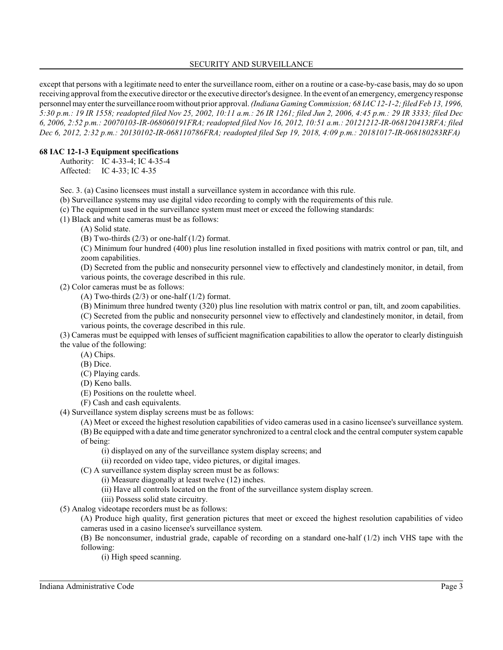## SECURITY AND SURVEILLANCE

except that persons with a legitimate need to enter the surveillance room, either on a routine or a case-by-case basis, may do so upon receiving approval fromthe executive director or the executive director's designee. In the event of an emergency, emergencyresponse personnel may enter the surveillance roomwithout prior approval. *(Indiana Gaming Commission; 68 IAC 12-1-2; filed Feb 13, 1996, 5:30 p.m.: 19 IR 1558; readopted filed Nov 25, 2002, 10:11 a.m.: 26 IR 1261; filed Jun 2, 2006, 4:45 p.m.: 29 IR 3333; filed Dec 6, 2006, 2:52 p.m.: 20070103-IR-068060191FRA; readopted filed Nov 16, 2012, 10:51 a.m.: 20121212-IR-068120413RFA; filed Dec 6, 2012, 2:32 p.m.: 20130102-IR-068110786FRA; readopted filed Sep 19, 2018, 4:09 p.m.: 20181017-IR-068180283RFA)*

#### **68 IAC 12-1-3 Equipment specifications**

Authority: IC 4-33-4; IC 4-35-4 Affected: IC 4-33; IC 4-35

Sec. 3. (a) Casino licensees must install a surveillance system in accordance with this rule.

(b) Surveillance systems may use digital video recording to comply with the requirements of this rule.

(c) The equipment used in the surveillance system must meet or exceed the following standards:

(1) Black and white cameras must be as follows:

(A) Solid state.

(B) Two-thirds  $(2/3)$  or one-half  $(1/2)$  format.

(C) Minimum four hundred (400) plus line resolution installed in fixed positions with matrix control or pan, tilt, and zoom capabilities.

(D) Secreted from the public and nonsecurity personnel view to effectively and clandestinely monitor, in detail, from various points, the coverage described in this rule.

(2) Color cameras must be as follows:

(A) Two-thirds  $(2/3)$  or one-half  $(1/2)$  format.

(B) Minimum three hundred twenty (320) plus line resolution with matrix control or pan, tilt, and zoom capabilities.

(C) Secreted from the public and nonsecurity personnel view to effectively and clandestinely monitor, in detail, from various points, the coverage described in this rule.

(3) Cameras must be equipped with lenses of sufficient magnification capabilities to allow the operator to clearly distinguish the value of the following:

(A) Chips.

(B) Dice.

(C) Playing cards.

(D) Keno balls.

(E) Positions on the roulette wheel.

(F) Cash and cash equivalents.

(4) Surveillance system display screens must be as follows:

(A) Meet or exceed the highest resolution capabilities of video cameras used in a casino licensee's surveillance system. (B) Be equipped with a date and time generator synchronized to a central clock and the central computer system capable of being:

(i) displayed on any of the surveillance system display screens; and

(ii) recorded on video tape, video pictures, or digital images.

(C) A surveillance system display screen must be as follows:

(i) Measure diagonally at least twelve (12) inches.

(ii) Have all controls located on the front of the surveillance system display screen.

(iii) Possess solid state circuitry.

(5) Analog videotape recorders must be as follows:

(A) Produce high quality, first generation pictures that meet or exceed the highest resolution capabilities of video cameras used in a casino licensee's surveillance system.

(B) Be nonconsumer, industrial grade, capable of recording on a standard one-half (1/2) inch VHS tape with the following:

(i) High speed scanning.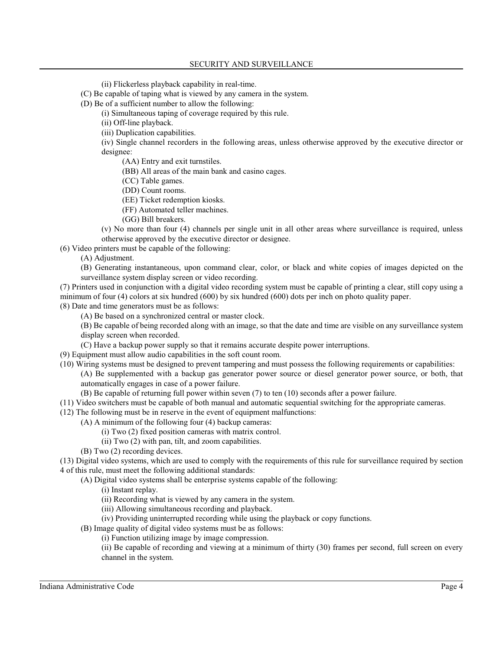(ii) Flickerless playback capability in real-time.

(C) Be capable of taping what is viewed by any camera in the system.

(D) Be of a sufficient number to allow the following:

(i) Simultaneous taping of coverage required by this rule.

(ii) Off-line playback.

(iii) Duplication capabilities.

(iv) Single channel recorders in the following areas, unless otherwise approved by the executive director or designee:

(AA) Entry and exit turnstiles.

(BB) All areas of the main bank and casino cages.

(CC) Table games.

(DD) Count rooms.

(EE) Ticket redemption kiosks.

(FF) Automated teller machines.

(GG) Bill breakers.

(v) No more than four (4) channels per single unit in all other areas where surveillance is required, unless otherwise approved by the executive director or designee.

(6) Video printers must be capable of the following:

(A) Adjustment.

(B) Generating instantaneous, upon command clear, color, or black and white copies of images depicted on the surveillance system display screen or video recording.

(7) Printers used in conjunction with a digital video recording system must be capable of printing a clear, still copy using a minimum of four (4) colors at six hundred (600) by six hundred (600) dots per inch on photo quality paper.

(8) Date and time generators must be as follows:

(A) Be based on a synchronized central or master clock.

(B) Be capable of being recorded along with an image, so that the date and time are visible on any surveillance system display screen when recorded.

(C) Have a backup power supply so that it remains accurate despite power interruptions.

(9) Equipment must allow audio capabilities in the soft count room.

(10) Wiring systems must be designed to prevent tampering and must possess the following requirements or capabilities:

(A) Be supplemented with a backup gas generator power source or diesel generator power source, or both, that automatically engages in case of a power failure.

(B) Be capable of returning full power within seven (7) to ten (10) seconds after a power failure.

(11) Video switchers must be capable of both manual and automatic sequential switching for the appropriate cameras.

(12) The following must be in reserve in the event of equipment malfunctions:

- (A) A minimum of the following four (4) backup cameras:
	- (i) Two (2) fixed position cameras with matrix control.
	- (ii) Two (2) with pan, tilt, and zoom capabilities.
- (B) Two (2) recording devices.

(13) Digital video systems, which are used to comply with the requirements of this rule for surveillance required by section 4 of this rule, must meet the following additional standards:

- (A) Digital video systems shall be enterprise systems capable of the following:
	- (i) Instant replay.
	- (ii) Recording what is viewed by any camera in the system.
	- (iii) Allowing simultaneous recording and playback.
	- (iv) Providing uninterrupted recording while using the playback or copy functions.
- (B) Image quality of digital video systems must be as follows:
	- (i) Function utilizing image by image compression.

(ii) Be capable of recording and viewing at a minimum of thirty (30) frames per second, full screen on every channel in the system.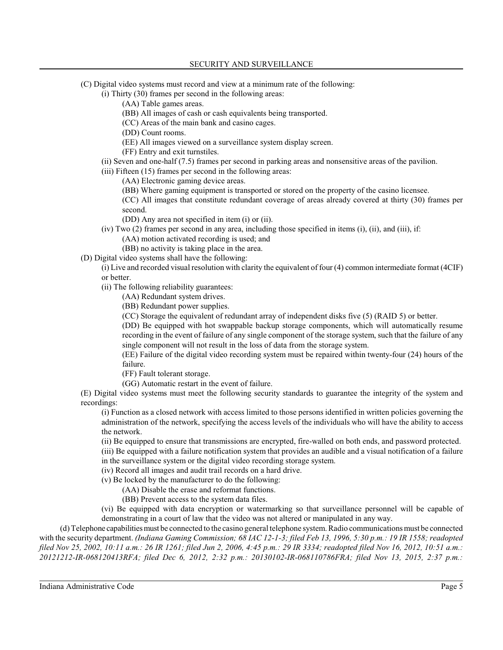(C) Digital video systems must record and view at a minimum rate of the following:

(i) Thirty (30) frames per second in the following areas:

(AA) Table games areas.

(BB) All images of cash or cash equivalents being transported.

(CC) Areas of the main bank and casino cages.

(DD) Count rooms.

(EE) All images viewed on a surveillance system display screen.

(FF) Entry and exit turnstiles.

(ii) Seven and one-half (7.5) frames per second in parking areas and nonsensitive areas of the pavilion.

(iii) Fifteen (15) frames per second in the following areas:

(AA) Electronic gaming device areas.

(BB) Where gaming equipment is transported or stored on the property of the casino licensee.

(CC) All images that constitute redundant coverage of areas already covered at thirty (30) frames per second.

(DD) Any area not specified in item (i) or (ii).

(iv) Two (2) frames per second in any area, including those specified in items (i), (ii), and (iii), if:

(AA) motion activated recording is used; and

(BB) no activity is taking place in the area.

(D) Digital video systems shall have the following:

(i) Live and recorded visual resolution with clarity the equivalent of four (4) common intermediate format (4CIF) or better.

(ii) The following reliability guarantees:

(AA) Redundant system drives.

(BB) Redundant power supplies.

(CC) Storage the equivalent of redundant array of independent disks five (5) (RAID 5) or better.

(DD) Be equipped with hot swappable backup storage components, which will automatically resume recording in the event of failure of any single component of the storage system, such that the failure of any single component will not result in the loss of data from the storage system.

(EE) Failure of the digital video recording system must be repaired within twenty-four (24) hours of the failure.

(FF) Fault tolerant storage.

(GG) Automatic restart in the event of failure.

(E) Digital video systems must meet the following security standards to guarantee the integrity of the system and recordings:

(i) Function as a closed network with access limited to those persons identified in written policies governing the administration of the network, specifying the access levels of the individuals who will have the ability to access the network.

(ii) Be equipped to ensure that transmissions are encrypted, fire-walled on both ends, and password protected.

(iii) Be equipped with a failure notification system that provides an audible and a visual notification of a failure in the surveillance system or the digital video recording storage system.

(iv) Record all images and audit trail records on a hard drive.

(v) Be locked by the manufacturer to do the following:

(AA) Disable the erase and reformat functions.

(BB) Prevent access to the system data files.

(vi) Be equipped with data encryption or watermarking so that surveillance personnel will be capable of demonstrating in a court of law that the video was not altered or manipulated in any way.

(d) Telephone capabilitiesmust be connected to the casino general telephone system. Radio communications must be connected with the security department. *(Indiana Gaming Commission; 68 IAC 12-1-3; filed Feb 13, 1996, 5:30 p.m.: 19 IR 1558; readopted filed Nov 25, 2002, 10:11 a.m.: 26 IR 1261; filed Jun 2, 2006, 4:45 p.m.: 29 IR 3334; readopted filed Nov 16, 2012, 10:51 a.m.: 20121212-IR-068120413RFA; filed Dec 6, 2012, 2:32 p.m.: 20130102-IR-068110786FRA; filed Nov 13, 2015, 2:37 p.m.:*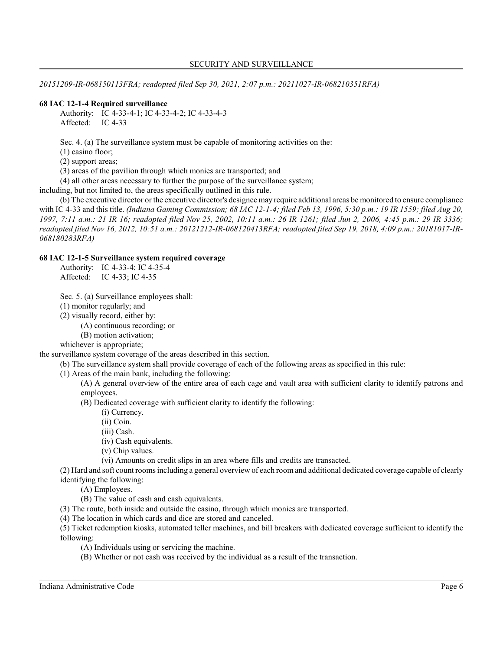*20151209-IR-068150113FRA; readopted filed Sep 30, 2021, 2:07 p.m.: 20211027-IR-068210351RFA)*

# **68 IAC 12-1-4 Required surveillance**

Authority: IC 4-33-4-1; IC 4-33-4-2; IC 4-33-4-3 Affected: IC 4-33

Sec. 4. (a) The surveillance system must be capable of monitoring activities on the:

(1) casino floor;

(2) support areas;

(3) areas of the pavilion through which monies are transported; and

(4) all other areas necessary to further the purpose of the surveillance system;

including, but not limited to, the areas specifically outlined in this rule.

(b) The executive director or the executive director's designee may require additional areas be monitored to ensure compliance with IC 4-33 and this title. *(Indiana Gaming Commission; 68 IAC 12-1-4; filed Feb 13, 1996, 5:30 p.m.: 19 IR 1559; filed Aug 20, 1997, 7:11 a.m.: 21 IR 16; readopted filed Nov 25, 2002, 10:11 a.m.: 26 IR 1261; filed Jun 2, 2006, 4:45 p.m.: 29 IR 3336; readopted filed Nov 16, 2012, 10:51 a.m.: 20121212-IR-068120413RFA; readopted filed Sep 19, 2018, 4:09 p.m.: 20181017-IR-068180283RFA)*

#### **68 IAC 12-1-5 Surveillance system required coverage**

Authority: IC 4-33-4; IC 4-35-4 Affected: IC 4-33; IC 4-35

Sec. 5. (a) Surveillance employees shall:

(1) monitor regularly; and

(2) visually record, either by:

(A) continuous recording; or

(B) motion activation;

whichever is appropriate;

the surveillance system coverage of the areas described in this section.

(b) The surveillance system shall provide coverage of each of the following areas as specified in this rule:

(1) Areas of the main bank, including the following:

(A) A general overview of the entire area of each cage and vault area with sufficient clarity to identify patrons and employees.

(B) Dedicated coverage with sufficient clarity to identify the following:

(i) Currency.

(ii) Coin.

(iii) Cash.

(iv) Cash equivalents.

(v) Chip values.

(vi) Amounts on credit slips in an area where fills and credits are transacted.

(2) Hard and soft count rooms including a general overview of each room and additional dedicated coverage capable of clearly identifying the following:

(A) Employees.

(B) The value of cash and cash equivalents.

(3) The route, both inside and outside the casino, through which monies are transported.

(4) The location in which cards and dice are stored and canceled.

(5) Ticket redemption kiosks, automated teller machines, and bill breakers with dedicated coverage sufficient to identify the following:

(A) Individuals using or servicing the machine.

(B) Whether or not cash was received by the individual as a result of the transaction.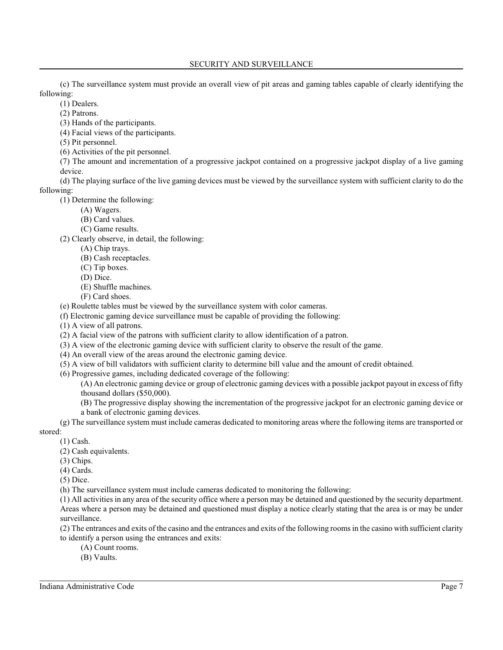(c) The surveillance system must provide an overall view of pit areas and gaming tables capable of clearly identifying the following:

(1) Dealers.

(2) Patrons.

(3) Hands of the participants.

(4) Facial views of the participants.

(5) Pit personnel.

(6) Activities of the pit personnel.

(7) The amount and incrementation of a progressive jackpot contained on a progressive jackpot display of a live gaming device.

(d) The playing surface of the live gaming devices must be viewed by the surveillance system with sufficient clarity to do the following:

(1) Determine the following:

(A) Wagers.

- (B) Card values.
- (C) Game results.

(2) Clearly observe, in detail, the following:

- (A) Chip trays.
- (B) Cash receptacles.
- (C) Tip boxes.
- (D) Dice.
- (E) Shuffle machines.
- (F) Card shoes.

(e) Roulette tables must be viewed by the surveillance system with color cameras.

(f) Electronic gaming device surveillance must be capable of providing the following:

(1) A view of all patrons.

- (2) A facial view of the patrons with sufficient clarity to allow identification of a patron.
- (3) A view of the electronic gaming device with sufficient clarity to observe the result of the game.
- (4) An overall view of the areas around the electronic gaming device.
- (5) A view of bill validators with sufficient clarity to determine bill value and the amount of credit obtained.
- (6) Progressive games, including dedicated coverage of the following:

(A) An electronic gaming device or group of electronic gaming devices with a possible jackpot payout in excess of fifty thousand dollars (\$50,000).

(B) The progressive display showing the incrementation of the progressive jackpot for an electronic gaming device or a bank of electronic gaming devices.

(g) The surveillance system must include cameras dedicated to monitoring areas where the following items are transported or

stored:

- (1) Cash. (2) Cash equivalents.
- (3) Chips.
- (4) Cards.

(5) Dice.

(h) The surveillance system must include cameras dedicated to monitoring the following:

(1) All activities in any area of the security office where a person may be detained and questioned by the security department. Areas where a person may be detained and questioned must display a notice clearly stating that the area is or may be under surveillance.

(2) The entrances and exits of the casino and the entrances and exits of the following rooms in the casino with sufficient clarity to identify a person using the entrances and exits:

- (A) Count rooms.
- (B) Vaults.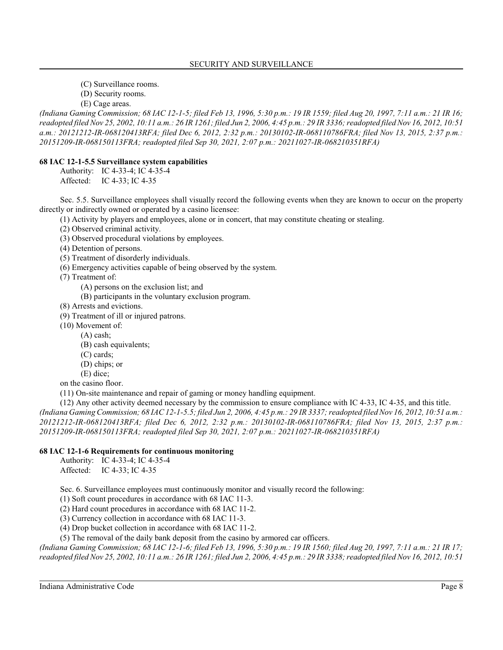- (C) Surveillance rooms.
- (D) Security rooms.
- (E) Cage areas.

*(Indiana Gaming Commission; 68 IAC 12-1-5; filed Feb 13, 1996, 5:30 p.m.: 19 IR 1559; filed Aug 20, 1997, 7:11 a.m.: 21 IR 16; readopted filed Nov 25, 2002, 10:11 a.m.: 26 IR 1261; filed Jun 2, 2006, 4:45 p.m.: 29 IR 3336; readopted filed Nov 16, 2012, 10:51 a.m.: 20121212-IR-068120413RFA; filed Dec 6, 2012, 2:32 p.m.: 20130102-IR-068110786FRA; filed Nov 13, 2015, 2:37 p.m.: 20151209-IR-068150113FRA; readopted filed Sep 30, 2021, 2:07 p.m.: 20211027-IR-068210351RFA)*

# **68 IAC 12-1-5.5 Surveillance system capabilities**

Authority: IC 4-33-4; IC 4-35-4 Affected: IC 4-33; IC 4-35

Sec. 5.5. Surveillance employees shall visually record the following events when they are known to occur on the property directly or indirectly owned or operated by a casino licensee:

(1) Activity by players and employees, alone or in concert, that may constitute cheating or stealing.

(2) Observed criminal activity.

(3) Observed procedural violations by employees.

(4) Detention of persons.

(5) Treatment of disorderly individuals.

(6) Emergency activities capable of being observed by the system.

(7) Treatment of:

(A) persons on the exclusion list; and

(B) participants in the voluntary exclusion program.

(8) Arrests and evictions.

(9) Treatment of ill or injured patrons.

- (10) Movement of:
	- (A) cash;
		- (B) cash equivalents;
		- (C) cards;
		- (D) chips; or
		- (E) dice;

on the casino floor.

(11) On-site maintenance and repair of gaming or money handling equipment.

(12) Any other activity deemed necessary by the commission to ensure compliance with IC 4-33, IC 4-35, and this title. *(Indiana Gaming Commission; 68 IAC 12-1-5.5; filed Jun 2, 2006, 4:45 p.m.: 29 IR 3337; readopted filed Nov 16, 2012, 10:51 a.m.: 20121212-IR-068120413RFA; filed Dec 6, 2012, 2:32 p.m.: 20130102-IR-068110786FRA; filed Nov 13, 2015, 2:37 p.m.: 20151209-IR-068150113FRA; readopted filed Sep 30, 2021, 2:07 p.m.: 20211027-IR-068210351RFA)*

# **68 IAC 12-1-6 Requirements for continuous monitoring**

Authority: IC 4-33-4; IC 4-35-4 Affected: IC 4-33; IC 4-35

Sec. 6. Surveillance employees must continuously monitor and visually record the following:

(1) Soft count procedures in accordance with 68 IAC 11-3.

(2) Hard count procedures in accordance with 68 IAC 11-2.

(3) Currency collection in accordance with 68 IAC 11-3.

(4) Drop bucket collection in accordance with 68 IAC 11-2.

(5) The removal of the daily bank deposit from the casino by armored car officers.

*(Indiana Gaming Commission; 68 IAC 12-1-6; filed Feb 13, 1996, 5:30 p.m.: 19 IR 1560; filed Aug 20, 1997, 7:11 a.m.: 21 IR 17; readopted filed Nov 25, 2002, 10:11 a.m.: 26 IR 1261; filed Jun 2, 2006, 4:45 p.m.: 29 IR 3338; readopted filed Nov 16, 2012, 10:51*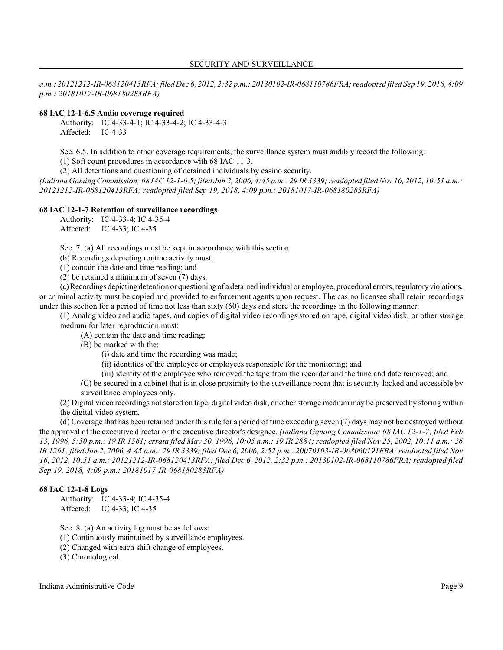*a.m.: 20121212-IR-068120413RFA; filed Dec 6, 2012, 2:32 p.m.: 20130102-IR-068110786FRA; readopted filed Sep 19, 2018, 4:09 p.m.: 20181017-IR-068180283RFA)*

#### **68 IAC 12-1-6.5 Audio coverage required**

Authority: IC 4-33-4-1; IC 4-33-4-2; IC 4-33-4-3 Affected: IC 4-33

Sec. 6.5. In addition to other coverage requirements, the surveillance system must audibly record the following:

(1) Soft count procedures in accordance with 68 IAC 11-3.

(2) All detentions and questioning of detained individuals by casino security.

*(Indiana Gaming Commission; 68 IAC 12-1-6.5; filed Jun 2, 2006, 4:45 p.m.: 29 IR 3339; readopted filed Nov 16, 2012, 10:51 a.m.: 20121212-IR-068120413RFA; readopted filed Sep 19, 2018, 4:09 p.m.: 20181017-IR-068180283RFA)*

#### **68 IAC 12-1-7 Retention of surveillance recordings**

Authority: IC 4-33-4; IC 4-35-4 Affected: IC 4-33; IC 4-35

Sec. 7. (a) All recordings must be kept in accordance with this section.

(b) Recordings depicting routine activity must:

(1) contain the date and time reading; and

(2) be retained a minimum of seven (7) days.

(c) Recordings depicting detention or questioning of a detained individual or employee, procedural errors, regulatoryviolations, or criminal activity must be copied and provided to enforcement agents upon request. The casino licensee shall retain recordings under this section for a period of time not less than sixty (60) days and store the recordings in the following manner:

(1) Analog video and audio tapes, and copies of digital video recordings stored on tape, digital video disk, or other storage medium for later reproduction must:

(A) contain the date and time reading;

(B) be marked with the:

(i) date and time the recording was made;

(ii) identities of the employee or employees responsible for the monitoring; and

(iii) identity of the employee who removed the tape from the recorder and the time and date removed; and

(C) be secured in a cabinet that is in close proximity to the surveillance room that is security-locked and accessible by surveillance employees only.

(2) Digital video recordings not stored on tape, digital video disk, or other storage medium may be preserved by storing within the digital video system.

(d) Coverage that has been retained under thisrule for a period of time exceeding seven (7) days may not be destroyed without the approval of the executive director or the executive director's designee. *(Indiana Gaming Commission; 68 IAC 12-1-7; filed Feb 13, 1996, 5:30 p.m.: 19 IR 1561; errata filed May 30, 1996, 10:05 a.m.: 19 IR 2884; readopted filed Nov 25, 2002, 10:11 a.m.: 26 IR 1261; filed Jun 2, 2006, 4:45 p.m.: 29 IR 3339; filed Dec 6, 2006, 2:52 p.m.: 20070103-IR-068060191FRA; readopted filed Nov 16, 2012, 10:51 a.m.: 20121212-IR-068120413RFA; filed Dec 6, 2012, 2:32 p.m.: 20130102-IR-068110786FRA; readopted filed Sep 19, 2018, 4:09 p.m.: 20181017-IR-068180283RFA)*

#### **68 IAC 12-1-8 Logs**

Authority: IC 4-33-4; IC 4-35-4 Affected: IC 4-33; IC 4-35

Sec. 8. (a) An activity log must be as follows:

(1) Continuously maintained by surveillance employees.

(2) Changed with each shift change of employees.

(3) Chronological.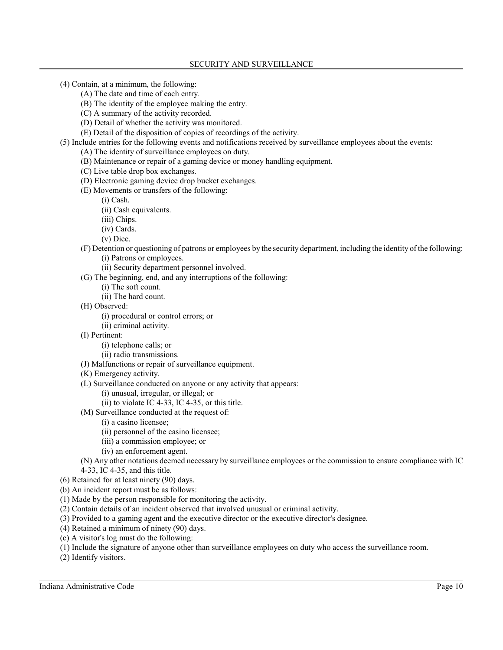(4) Contain, at a minimum, the following:

- (A) The date and time of each entry.
- (B) The identity of the employee making the entry.
- (C) A summary of the activity recorded.
- (D) Detail of whether the activity was monitored.
- (E) Detail of the disposition of copies of recordings of the activity.
- (5) Include entries for the following events and notifications received by surveillance employees about the events:
	- (A) The identity of surveillance employees on duty.
	- (B) Maintenance or repair of a gaming device or money handling equipment.
	- (C) Live table drop box exchanges.
	- (D) Electronic gaming device drop bucket exchanges.
	- (E) Movements or transfers of the following:
		- (i) Cash.
		- (ii) Cash equivalents.
		- (iii) Chips.
		- (iv) Cards.
		- (v) Dice.
	- (F) Detention or questioning of patrons or employees by the security department, including the identity of the following:
		- (i) Patrons or employees.
		- (ii) Security department personnel involved.
	- (G) The beginning, end, and any interruptions of the following:
		- (i) The soft count.
		- (ii) The hard count.
	- (H) Observed:
		- (i) procedural or control errors; or
		- (ii) criminal activity.
	- (I) Pertinent:
		- (i) telephone calls; or
		- (ii) radio transmissions.
	- (J) Malfunctions or repair of surveillance equipment.
	- (K) Emergency activity.
	- (L) Surveillance conducted on anyone or any activity that appears:
		- (i) unusual, irregular, or illegal; or
		- $(ii)$  to violate IC 4-33, IC 4-35, or this title.
	- (M) Surveillance conducted at the request of:
		- (i) a casino licensee;
		- (ii) personnel of the casino licensee;
		- (iii) a commission employee; or
		- (iv) an enforcement agent.

(N) Any other notations deemed necessary by surveillance employees or the commission to ensure compliance with IC 4-33, IC 4-35, and this title.

(6) Retained for at least ninety (90) days.

(b) An incident report must be as follows:

- (1) Made by the person responsible for monitoring the activity.
- (2) Contain details of an incident observed that involved unusual or criminal activity.
- (3) Provided to a gaming agent and the executive director or the executive director's designee.
- (4) Retained a minimum of ninety (90) days.
- (c) A visitor's log must do the following:
- (1) Include the signature of anyone other than surveillance employees on duty who access the surveillance room.
- (2) Identify visitors.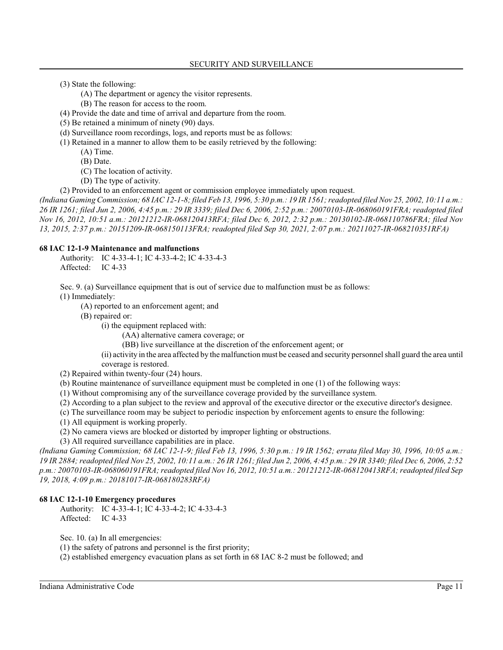- (3) State the following:
	- (A) The department or agency the visitor represents.
	- (B) The reason for access to the room.
- (4) Provide the date and time of arrival and departure from the room.
- (5) Be retained a minimum of ninety (90) days.
- (d) Surveillance room recordings, logs, and reports must be as follows:
- (1) Retained in a manner to allow them to be easily retrieved by the following:
	- (A) Time.
	- (B) Date.
	- (C) The location of activity.
	- (D) The type of activity.
- (2) Provided to an enforcement agent or commission employee immediately upon request.

*(Indiana Gaming Commission; 68 IAC 12-1-8; filed Feb 13, 1996, 5:30 p.m.: 19 IR 1561; readopted filed Nov 25, 2002, 10:11 a.m.: 26 IR 1261; filed Jun 2, 2006, 4:45 p.m.: 29 IR 3339; filed Dec 6, 2006, 2:52 p.m.: 20070103-IR-068060191FRA; readopted filed Nov 16, 2012, 10:51 a.m.: 20121212-IR-068120413RFA; filed Dec 6, 2012, 2:32 p.m.: 20130102-IR-068110786FRA; filed Nov 13, 2015, 2:37 p.m.: 20151209-IR-068150113FRA; readopted filed Sep 30, 2021, 2:07 p.m.: 20211027-IR-068210351RFA)*

#### **68 IAC 12-1-9 Maintenance and malfunctions**

Authority: IC 4-33-4-1; IC 4-33-4-2; IC 4-33-4-3 Affected: IC 4-33

Sec. 9. (a) Surveillance equipment that is out of service due to malfunction must be as follows:

- (1) Immediately:
	- (A) reported to an enforcement agent; and
	- (B) repaired or:

(i) the equipment replaced with:

(AA) alternative camera coverage; or

(BB) live surveillance at the discretion of the enforcement agent; or

(ii) activity in the area affected by the malfunction must be ceased and security personnel shall guard the area until coverage is restored.

(2) Repaired within twenty-four (24) hours.

(b) Routine maintenance of surveillance equipment must be completed in one (1) of the following ways:

- (1) Without compromising any of the surveillance coverage provided by the surveillance system.
- (2) According to a plan subject to the review and approval of the executive director or the executive director's designee.
- (c) The surveillance room may be subject to periodic inspection by enforcement agents to ensure the following:
- (1) All equipment is working properly.

(2) No camera views are blocked or distorted by improper lighting or obstructions.

(3) All required surveillance capabilities are in place.

*(Indiana Gaming Commission; 68 IAC 12-1-9; filed Feb 13, 1996, 5:30 p.m.: 19 IR 1562; errata filed May 30, 1996, 10:05 a.m.: 19 IR 2884; readopted filed Nov 25, 2002, 10:11 a.m.: 26 IR 1261; filed Jun 2, 2006, 4:45 p.m.: 29 IR 3340; filed Dec 6, 2006, 2:52 p.m.: 20070103-IR-068060191FRA; readopted filed Nov 16, 2012, 10:51 a.m.: 20121212-IR-068120413RFA; readopted filed Sep 19, 2018, 4:09 p.m.: 20181017-IR-068180283RFA)*

#### **68 IAC 12-1-10 Emergency procedures**

Authority: IC 4-33-4-1; IC 4-33-4-2; IC 4-33-4-3 Affected: IC 4-33

Sec. 10. (a) In all emergencies:

(1) the safety of patrons and personnel is the first priority;

(2) established emergency evacuation plans as set forth in 68 IAC 8-2 must be followed; and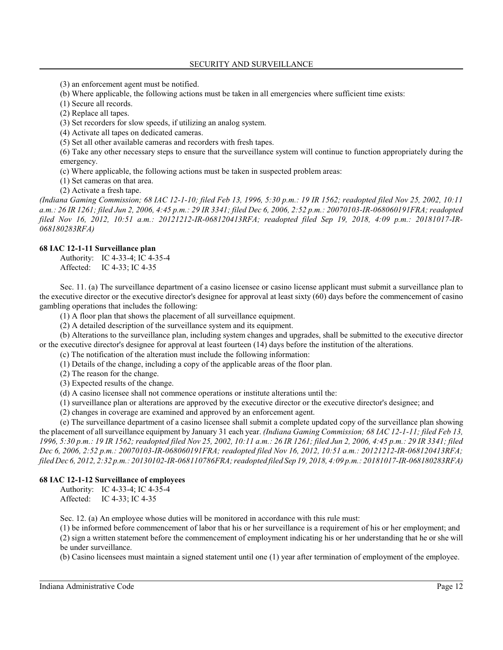(3) an enforcement agent must be notified.

(b) Where applicable, the following actions must be taken in all emergencies where sufficient time exists:

(1) Secure all records.

(2) Replace all tapes.

(3) Set recorders for slow speeds, if utilizing an analog system.

(4) Activate all tapes on dedicated cameras.

(5) Set all other available cameras and recorders with fresh tapes.

(6) Take any other necessary steps to ensure that the surveillance system will continue to function appropriately during the emergency.

(c) Where applicable, the following actions must be taken in suspected problem areas:

(1) Set cameras on that area.

(2) Activate a fresh tape.

*(Indiana Gaming Commission; 68 IAC 12-1-10; filed Feb 13, 1996, 5:30 p.m.: 19 IR 1562; readopted filed Nov 25, 2002, 10:11 a.m.: 26 IR 1261; filed Jun 2, 2006, 4:45 p.m.: 29 IR 3341; filed Dec 6, 2006, 2:52 p.m.: 20070103-IR-068060191FRA; readopted filed Nov 16, 2012, 10:51 a.m.: 20121212-IR-068120413RFA; readopted filed Sep 19, 2018, 4:09 p.m.: 20181017-IR-068180283RFA)*

#### **68 IAC 12-1-11 Surveillance plan**

Authority: IC 4-33-4; IC 4-35-4 Affected: IC 4-33; IC 4-35

Sec. 11. (a) The surveillance department of a casino licensee or casino license applicant must submit a surveillance plan to the executive director or the executive director's designee for approval at least sixty (60) days before the commencement of casino gambling operations that includes the following:

(1) A floor plan that shows the placement of all surveillance equipment.

(2) A detailed description of the surveillance system and its equipment.

(b) Alterations to the surveillance plan, including system changes and upgrades, shall be submitted to the executive director or the executive director's designee for approval at least fourteen (14) days before the institution of the alterations.

(c) The notification of the alteration must include the following information:

(1) Details of the change, including a copy of the applicable areas of the floor plan.

(2) The reason for the change.

(3) Expected results of the change.

(d) A casino licensee shall not commence operations or institute alterations until the:

(1) surveillance plan or alterations are approved by the executive director or the executive director's designee; and

(2) changes in coverage are examined and approved by an enforcement agent.

(e) The surveillance department of a casino licensee shall submit a complete updated copy of the surveillance plan showing the placement of all surveillance equipment by January 31 each year. *(Indiana Gaming Commission; 68 IAC 12-1-11; filed Feb 13, 1996, 5:30 p.m.: 19 IR 1562; readopted filed Nov 25, 2002, 10:11 a.m.: 26 IR 1261; filed Jun 2, 2006, 4:45 p.m.: 29 IR 3341; filed Dec 6, 2006, 2:52 p.m.: 20070103-IR-068060191FRA; readopted filed Nov 16, 2012, 10:51 a.m.: 20121212-IR-068120413RFA; filed Dec 6, 2012, 2:32 p.m.: 20130102-IR-068110786FRA; readopted filed Sep 19, 2018, 4:09 p.m.: 20181017-IR-068180283RFA)*

## **68 IAC 12-1-12 Surveillance of employees**

Authority: IC 4-33-4; IC 4-35-4 Affected: IC 4-33; IC 4-35

Sec. 12. (a) An employee whose duties will be monitored in accordance with this rule must:

(1) be informed before commencement of labor that his or her surveillance is a requirement of his or her employment; and (2) sign a written statement before the commencement of employment indicating his or her understanding that he or she will be under surveillance.

(b) Casino licensees must maintain a signed statement until one (1) year after termination of employment of the employee.